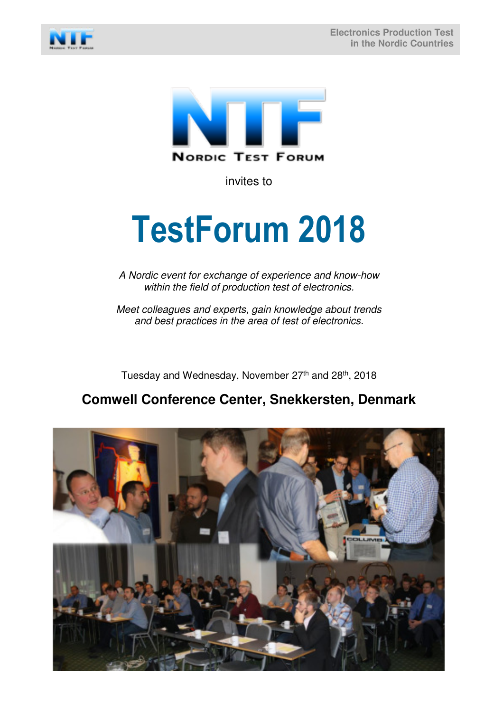



invites to

# **TestForum 2018**

A Nordic event for exchange of experience and know-how within the field of production test of electronics.

Meet colleagues and experts, gain knowledge about trends and best practices in the area of test of electronics.

Tuesday and Wednesday, November 27<sup>th</sup> and 28<sup>th</sup>, 2018

# **Comwell Conference Center, Snekkersten, Denmark**

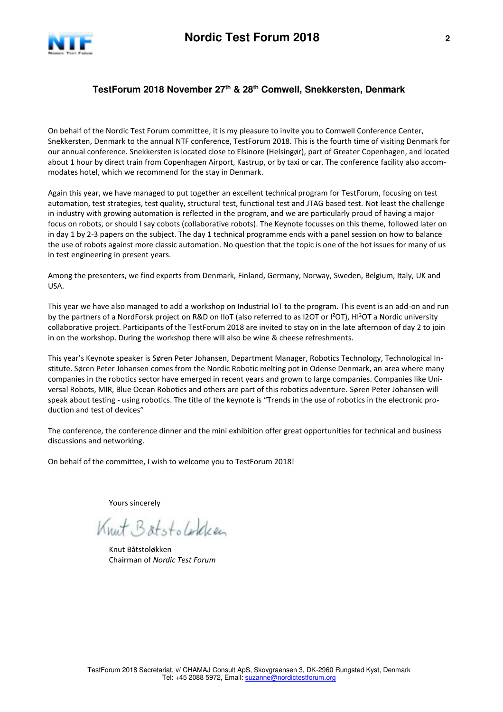

## **TestForum 2018 November 27th & 28th Comwell, Snekkersten, Denmark**

On behalf of the Nordic Test Forum committee, it is my pleasure to invite you to Comwell Conference Center, Snekkersten, Denmark to the annual NTF conference, TestForum 2018. This is the fourth time of visiting Denmark for our annual conference. Snekkersten is located close to Elsinore (Helsingør), part of Greater Copenhagen, and located about 1 hour by direct train from Copenhagen Airport, Kastrup, or by taxi or car. The conference facility also accommodates hotel, which we recommend for the stay in Denmark.

Again this year, we have managed to put together an excellent technical program for TestForum, focusing on test automation, test strategies, test quality, structural test, functional test and JTAG based test. Not least the challenge in industry with growing automation is reflected in the program, and we are particularly proud of having a major focus on robots, or should I say cobots (collaborative robots). The Keynote focusses on this theme, followed later on in day 1 by 2-3 papers on the subject. The day 1 technical programme ends with a panel session on how to balance the use of robots against more classic automation. No question that the topic is one of the hot issues for many of us in test engineering in present years.

Among the presenters, we find experts from Denmark, Finland, Germany, Norway, Sweden, Belgium, Italy, UK and USA.

This year we have also managed to add a workshop on Industrial IoT to the program. This event is an add-on and run by the partners of a NordForsk project on R&D on IIoT (also referred to as I2OT or I²OT), HI<sup>2</sup>OT a Nordic university collaborative project. Participants of the TestForum 2018 are invited to stay on in the late afternoon of day 2 to join in on the workshop. During the workshop there will also be wine & cheese refreshments.

This year's Keynote speaker is Søren Peter Johansen, Department Manager, Robotics Technology, Technological Institute. Søren Peter Johansen comes from the Nordic Robotic melting pot in Odense Denmark, an area where many companies in the robotics sector have emerged in recent years and grown to large companies. Companies like Universal Robots, MIR, Blue Ocean Robotics and others are part of this robotics adventure. Søren Peter Johansen will speak about testing - using robotics. The title of the keynote is "Trends in the use of robotics in the electronic production and test of devices"

The conference, the conference dinner and the mini exhibition offer great opportunities for technical and business discussions and networking.

On behalf of the committee, I wish to welcome you to TestForum 2018!

Yours sincerely

Knut Batstolokken

 Knut Båtstoløkken Chairman of *Nordic Test Forum*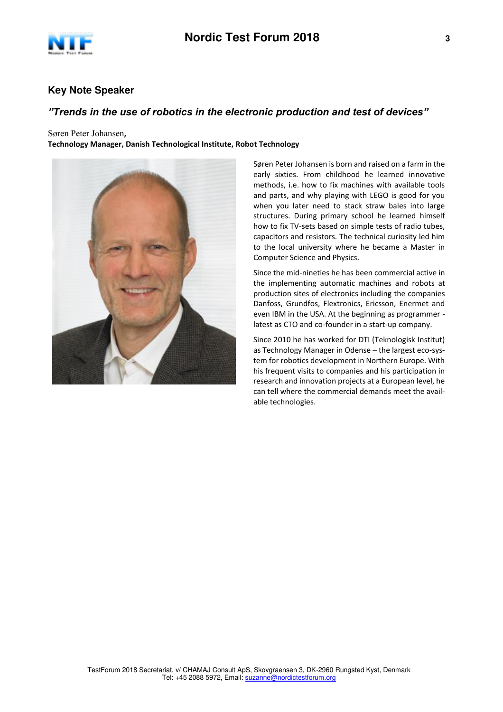

## **Key Note Speaker**

## *"Trends in the use of robotics in the electronic production and test of devices"*

Søren Peter Johansen**, Technology Manager, Danish Technological Institute, Robot Technology** 



Søren Peter Johansen is born and raised on a farm in the early sixties. From childhood he learned innovative methods, i.e. how to fix machines with available tools and parts, and why playing with LEGO is good for you when you later need to stack straw bales into large structures. During primary school he learned himself how to fix TV-sets based on simple tests of radio tubes, capacitors and resistors. The technical curiosity led him to the local university where he became a Master in Computer Science and Physics.

Since the mid-nineties he has been commercial active in the implementing automatic machines and robots at production sites of electronics including the companies Danfoss, Grundfos, Flextronics, Ericsson, Enermet and even IBM in the USA. At the beginning as programmer latest as CTO and co-founder in a start-up company.

Since 2010 he has worked for DTI (Teknologisk Institut) as Technology Manager in Odense – the largest eco-system for robotics development in Northern Europe. With his frequent visits to companies and his participation in research and innovation projects at a European level, he can tell where the commercial demands meet the available technologies.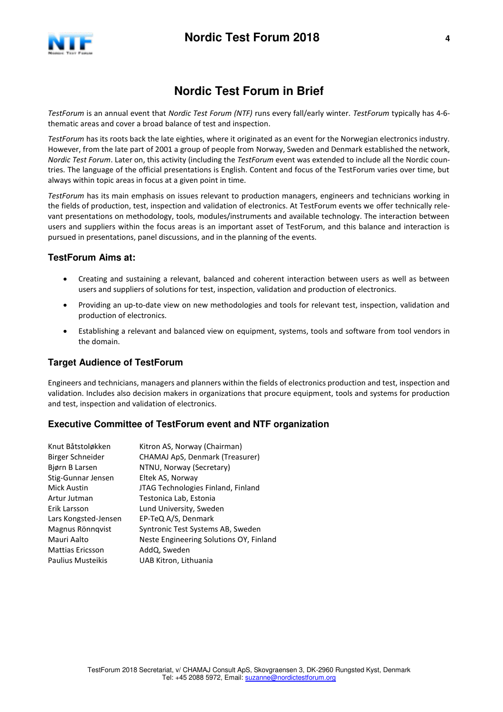

# **Nordic Test Forum in Brief**

*TestForum* is an annual event that *Nordic Test Forum (NTF)* runs every fall/early winter. *TestForum* typically has 4-6 thematic areas and cover a broad balance of test and inspection.

*TestForum* has its roots back the late eighties, where it originated as an event for the Norwegian electronics industry. However, from the late part of 2001 a group of people from Norway, Sweden and Denmark established the network, *Nordic Test Forum*. Later on, this activity (including the *TestForum* event was extended to include all the Nordic countries. The language of the official presentations is English. Content and focus of the TestForum varies over time, but always within topic areas in focus at a given point in time.

*TestForum* has its main emphasis on issues relevant to production managers, engineers and technicians working in the fields of production, test, inspection and validation of electronics. At TestForum events we offer technically relevant presentations on methodology, tools, modules/instruments and available technology. The interaction between users and suppliers within the focus areas is an important asset of TestForum, and this balance and interaction is pursued in presentations, panel discussions, and in the planning of the events.

#### **TestForum Aims at:**

- Creating and sustaining a relevant, balanced and coherent interaction between users as well as between users and suppliers of solutions for test, inspection, validation and production of electronics.
- Providing an up-to-date view on new methodologies and tools for relevant test, inspection, validation and production of electronics.
- Establishing a relevant and balanced view on equipment, systems, tools and software from tool vendors in the domain.

#### **Target Audience of TestForum**

Engineers and technicians, managers and planners within the fields of electronics production and test, inspection and validation. Includes also decision makers in organizations that procure equipment, tools and systems for production and test, inspection and validation of electronics.

#### **Executive Committee of TestForum event and NTF organization**

| Knut Båtstoløkken        | Kitron AS, Norway (Chairman)            |
|--------------------------|-----------------------------------------|
| Birger Schneider         | CHAMAJ ApS, Denmark (Treasurer)         |
| Bjørn B Larsen           | NTNU, Norway (Secretary)                |
| Stig-Gunnar Jensen       | Eltek AS, Norway                        |
| <b>Mick Austin</b>       | JTAG Technologies Finland, Finland      |
| Artur Jutman             | Testonica Lab, Estonia                  |
| Erik Larsson             | Lund University, Sweden                 |
| Lars Kongsted-Jensen     | EP-TeQ A/S, Denmark                     |
| Magnus Rönnqvist         | Syntronic Test Systems AB, Sweden       |
| Mauri Aalto              | Neste Engineering Solutions OY, Finland |
| <b>Mattias Ericsson</b>  | AddQ, Sweden                            |
| <b>Paulius Musteikis</b> | UAB Kitron, Lithuania                   |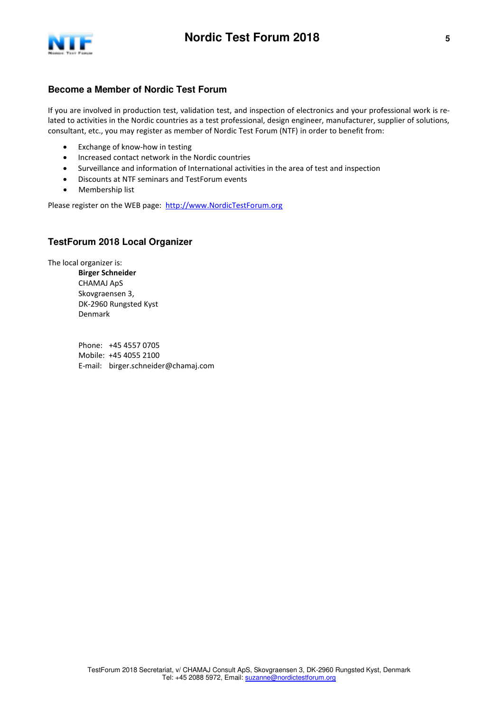

#### **Become a Member of Nordic Test Forum**

If you are involved in production test, validation test, and inspection of electronics and your professional work is related to activities in the Nordic countries as a test professional, design engineer, manufacturer, supplier of solutions, consultant, etc., you may register as member of Nordic Test Forum (NTF) in order to benefit from:

- Exchange of know-how in testing
- Increased contact network in the Nordic countries
- Surveillance and information of International activities in the area of test and inspection
- Discounts at NTF seminars and TestForum events
- Membership list

Please register on the WEB page: [http://www.NordicTestForum.org](http://www.nordictestforum.org/)

#### **TestForum 2018 Local Organizer**

The local organizer is:

**Birger Schneider**  CHAMAJ ApS Skovgraensen 3, DK-2960 Rungsted Kyst Denmark

Phone: +45 4557 0705 Mobile: +45 4055 2100 E-mail: birger.schneider@chamaj.com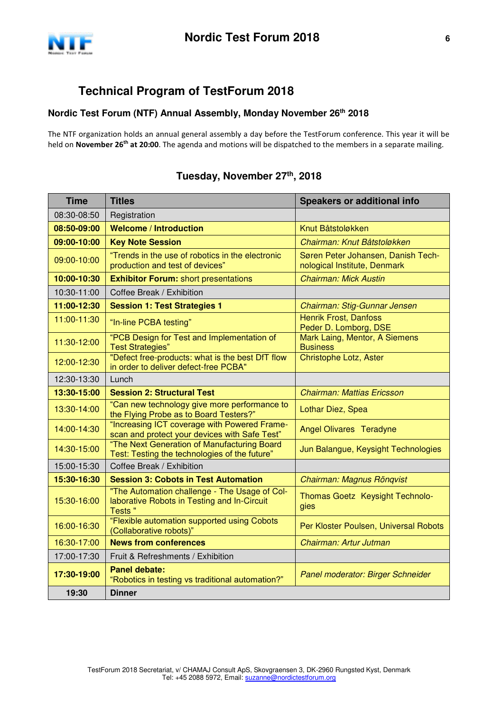

# **Technical Program of TestForum 2018**

## **Nordic Test Forum (NTF) Annual Assembly, Monday November 26th 2018**

The NTF organization holds an annual general assembly a day before the TestForum conference. This year it will be held on **November 26th at 20:00**. The agenda and motions will be dispatched to the members in a separate mailing.

#### **Time Titles Speakers or additional info** 08:30-08:50 | Registration **08:50-09:00 Welcome / Introduction** Knut Båtstoløkken **09:00-10:00 Key Note Session** Chairman: Knut Båtstoløkken 09:00-10:00 <sup>"Trends</sup> in the use of robotics in the electronic production and test of devices" Søren Peter Johansen, Danish Technological Institute, Denmark **10:00-10:30 Exhibitor Forum:** short presentations Chairman: Mick Austin 10:30-11:00 | Coffee Break / Exhibition **11:00-12:30** Session 1: Test Strategies 1 **Chairman: Stig-Gunnar Jensen** 11:00-11:30 "In-line PCBA testing" Henrik Frost, Danfoss Peder D. Lomborg, DSE 11:30-12:00 | "PCB Design for Test and Implementation of Test Strategies" Mark Laing, Mentor, A Siemens **Business** 12:00-12:30 | "Defect free-products: what is the best DfT flow in order to deliver defect-free PCBA" Christophe Lotz, Aster 12:30-13:30 Lunch **13:30-15:00 Session 2: Structural Test** Chairman: Mattias Ericsson 13:30-14:00 "Can new technology give more performance to Lothar Diez, Spea<br>the Flying Probe as to Board Testers?" 14:00-14:30 "Increasing ICT coverage with Powered Framescan and protect your devices with Safe Test" | Angel Olivares Teradyne 14:30-15:00 The Next Generation of Manufacturing Board The Next Generation of Mandracturing Board Jun Balangue, Keysight Technologies<br>Test: Testing the technologies of the future" 15:00-15:30 | Coffee Break / Exhibition **15:30-16:30 Session 3: Cobots in Test Automation** Chairman: Magnus Rönqvist 15:30-16:00 "The Automation challenge - The Usage of Collaborative Robots in Testing and In-Circuit Tests " Thomas Goetz Keysight Technologies 16:00-16:30 "Flexible automation supported using Cobots"<br>
(Collaborative robots)" Per Kloster Poulsen, Universal Robots 16:30-17:00 **News from conferences News from conferences News 5 and 2011** Chairman: Artur Jutman 17:00-17:30 Fruit & Refreshments / Exhibition **17:30-19:00 Panel debate:**  Patier debate.<br>"Robotics in testing vs traditional automation?"  $\Big|$  Panel moderator: Birger Schneider **19:30 Dinner**

# **Tuesday, November 27th , 2018**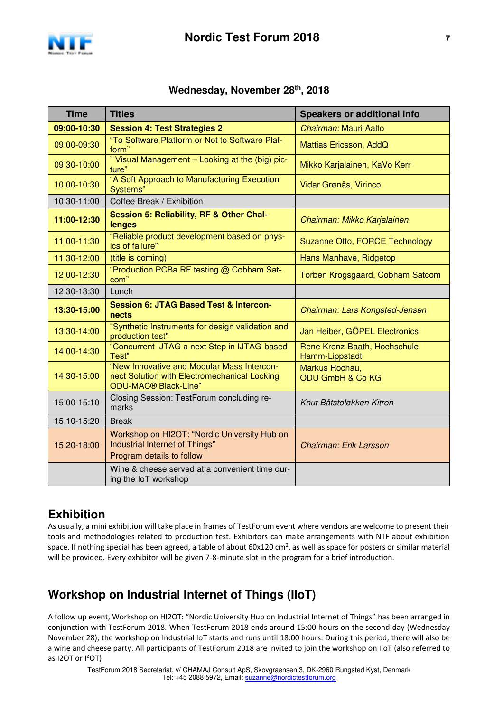

# **Wednesday, November 28th , 2018**

| <b>Time</b> | <b>Titles</b>                                                                                                                  | <b>Speakers or additional info</b>             |  |
|-------------|--------------------------------------------------------------------------------------------------------------------------------|------------------------------------------------|--|
| 09:00-10:30 | <b>Session 4: Test Strategies 2</b>                                                                                            | Chairman: Mauri Aalto                          |  |
| 09:00-09:30 | "To Software Platform or Not to Software Plat-<br>form"                                                                        | Mattias Ericsson, AddQ                         |  |
| 09:30-10:00 | " Visual Management - Looking at the (big) pic-<br>ture"                                                                       | Mikko Karjalainen, KaVo Kerr                   |  |
| 10:00-10:30 | "A Soft Approach to Manufacturing Execution<br>Systems"                                                                        | Vidar Grønås, Virinco                          |  |
| 10:30-11:00 | Coffee Break / Exhibition                                                                                                      |                                                |  |
| 11:00-12:30 | Session 5: Reliability, RF & Other Chal-<br>Chairman: Mikko Karjalainen<br>lenges                                              |                                                |  |
| 11:00-11:30 | "Reliable product development based on phys-<br>ics of failure"                                                                | Suzanne Otto, FORCE Technology                 |  |
| 11:30-12:00 | (title is coming)                                                                                                              | Hans Manhave, Ridgetop                         |  |
| 12:00-12:30 | "Production PCBa RF testing @ Cobham Sat-<br>com"                                                                              | Torben Krogsgaard, Cobham Satcom               |  |
| 12:30-13:30 | Lunch                                                                                                                          |                                                |  |
| 13:30-15:00 | <b>Session 6: JTAG Based Test &amp; Intercon-</b><br>nects                                                                     | Chairman: Lars Kongsted-Jensen                 |  |
| 13:30-14:00 | "Synthetic Instruments for design validation and<br>production test"                                                           | Jan Heiber, GÖPEL Electronics                  |  |
| 14:00-14:30 | "Concurrent IJTAG a next Step in IJTAG-based<br>Test"                                                                          | Rene Krenz-Baath, Hochschule<br>Hamm-Lippstadt |  |
| 14:30-15:00 | "New Innovative and Modular Mass Intercon-<br>nect Solution with Electromechanical Locking<br>ODU-MAC <sup>®</sup> Black-Line" | Markus Rochau,<br><b>ODU GmbH &amp; Co KG</b>  |  |
| 15:00-15:10 | Closing Session: TestForum concluding re-<br>marks                                                                             | Knut Båtstoløkken Kitron                       |  |
| 15:10-15:20 | <b>Break</b>                                                                                                                   |                                                |  |
| 15:20-18:00 | Workshop on HI2OT: "Nordic University Hub on<br>Industrial Internet of Things"<br>Program details to follow                    | Chairman: Erik Larsson                         |  |
|             | Wine & cheese served at a convenient time dur-<br>ing the IoT workshop                                                         |                                                |  |

# **Exhibition**

As usually, a mini exhibition will take place in frames of TestForum event where vendors are welcome to present their tools and methodologies related to production test. Exhibitors can make arrangements with NTF about exhibition space. If nothing special has been agreed, a table of about 60x120 cm<sup>2</sup>, as well as space for posters or similar material will be provided. Every exhibitor will be given 7-8-minute slot in the program for a brief introduction.

# **Workshop on Industrial Internet of Things (IIoT)**

A follow up event, Workshop on HI2OT: "Nordic University Hub on Industrial Internet of Things" has been arranged in conjunction with TestForum 2018. When TestForum 2018 ends around 15:00 hours on the second day (Wednesday November 28), the workshop on Industrial IoT starts and runs until 18:00 hours. During this period, there will also be a wine and cheese party. All participants of TestForum 2018 are invited to join the workshop on IIoT (also referred to as I2OT or I²OT)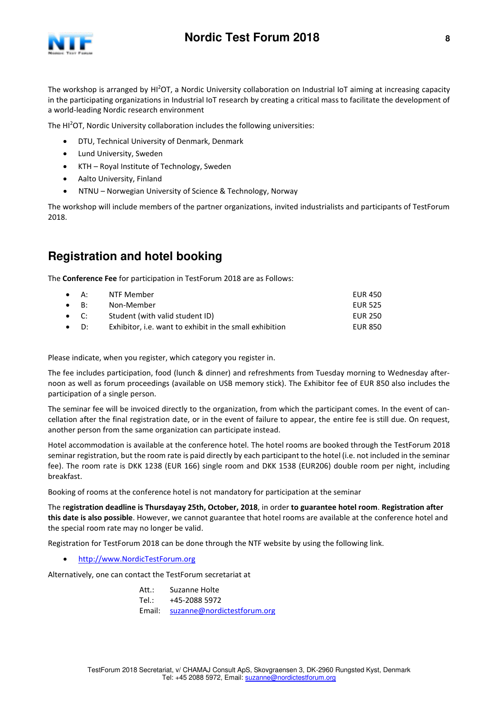



The workshop is arranged by HI<sup>2</sup>OT, a Nordic University collaboration on Industrial IoT aiming at increasing capacity in the participating organizations in Industrial IoT research by creating a critical mass to facilitate the development of a world-leading Nordic research environment

The HI<sup>2</sup>OT, Nordic University collaboration includes the following universities:

- DTU, Technical University of Denmark, Denmark
- Lund University, Sweden
- KTH Royal Institute of Technology, Sweden
- Aalto University, Finland
- NTNU Norwegian University of Science & Technology, Norway

The workshop will include members of the partner organizations, invited industrialists and participants of TestForum 2018.

# **Registration and hotel booking**

The **Conference Fee** for participation in TestForum 2018 are as Follows:

| $\bullet$ A: | NTF Member                                              | <b>EUR 450</b> |
|--------------|---------------------------------------------------------|----------------|
| $\bullet$ B: | Non-Member                                              | <b>EUR 525</b> |
| $\bullet$ C: | Student (with valid student ID)                         | EUR 250        |
| $\bullet$ D: | Exhibitor, i.e. want to exhibit in the small exhibition | <b>EUR 850</b> |

Please indicate, when you register, which category you register in.

The fee includes participation, food (lunch & dinner) and refreshments from Tuesday morning to Wednesday afternoon as well as forum proceedings (available on USB memory stick). The Exhibitor fee of EUR 850 also includes the participation of a single person.

The seminar fee will be invoiced directly to the organization, from which the participant comes. In the event of cancellation after the final registration date, or in the event of failure to appear, the entire fee is still due. On request, another person from the same organization can participate instead.

Hotel accommodation is available at the conference hotel. The hotel rooms are booked through the TestForum 2018 seminar registration, but the room rate is paid directly by each participant to the hotel (i.e. not included in the seminar fee). The room rate is DKK 1238 (EUR 166) single room and DKK 1538 (EUR206) double room per night, including breakfast.

Booking of rooms at the conference hotel is not mandatory for participation at the seminar

The r**egistration deadline is Thursdayay 25th, October, 2018**, in order **to guarantee hotel room**. **Registration after this date is also possible**. However, we cannot guarantee that hotel rooms are available at the conference hotel and the special room rate may no longer be valid.

Registration for TestForum 2018 can be done through the NTF website by using the following link.

• [http://www.NordicTestForum.org](http://www.nordictestforum.org/)

Alternatively, one can contact the TestForum secretariat at

Att.: Suzanne Holte Tel.: +45-2088 5972 Email: [suzanne@nordictestforum.org](mailto:suzanne@nordictestforum.org)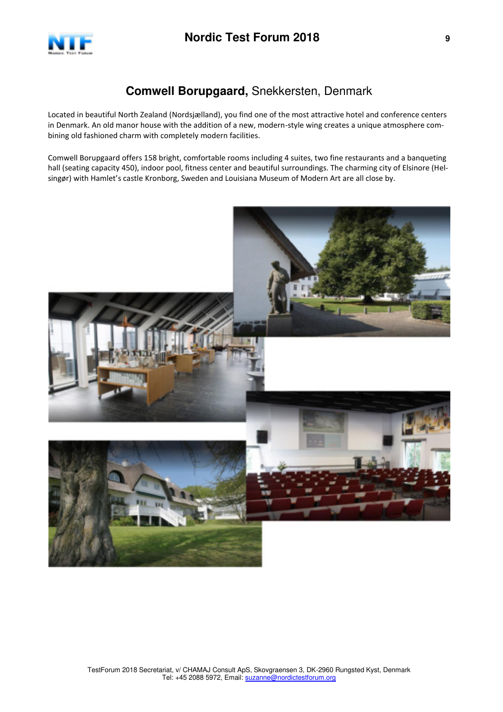

# **Comwell Borupgaard,** Snekkersten, Denmark

Located in beautiful North Zealand (Nordsjælland), you find one of the most attractive hotel and conference centers in Denmark. An old manor house with the addition of a new, modern-style wing creates a unique atmosphere combining old fashioned charm with completely modern facilities.

Comwell Borupgaard offers 158 bright, comfortable rooms including 4 suites, two fine restaurants and a banqueting hall (seating capacity 450), indoor pool, fitness center and beautiful surroundings. The charming city of Elsinore (Helsingør) with Hamlet's castle Kronborg, Sweden and Louisiana Museum of Modern Art are all close by.

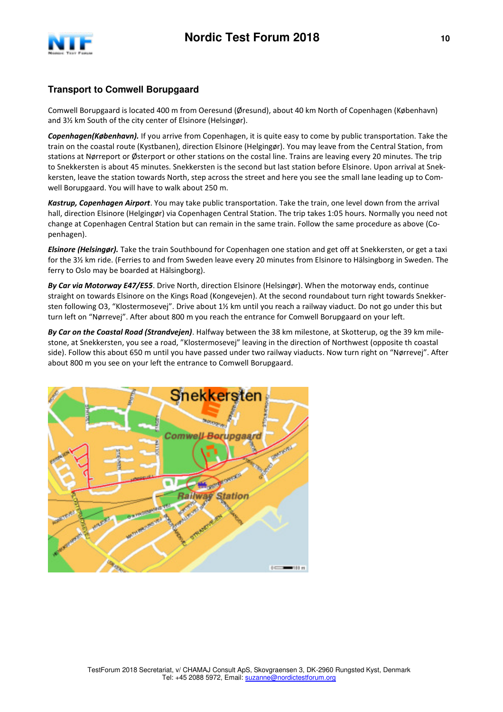

## **Transport to Comwell Borupgaard**

Comwell Borupgaard is located 400 m from Oeresund (Øresund), about 40 km North of Copenhagen (København) and 3½ km South of the city center of Elsinore (Helsingør).

*Copenhagen(København).* If you arrive from Copenhagen, it is quite easy to come by public transportation. Take the train on the coastal route (Kystbanen), direction Elsinore (Helgingør). You may leave from the Central Station, from stations at Nørreport or Østerport or other stations on the costal line. Trains are leaving every 20 minutes. The trip to Snekkersten is about 45 minutes. Snekkersten is the second but last station before Elsinore. Upon arrival at Snekkersten, leave the station towards North, step across the street and here you see the small lane leading up to Comwell Borupgaard. You will have to walk about 250 m.

*Kastrup, Copenhagen Airport*. You may take public transportation. Take the train, one level down from the arrival hall, direction Elsinore (Helgingør) via Copenhagen Central Station. The trip takes 1:05 hours. Normally you need not change at Copenhagen Central Station but can remain in the same train. Follow the same procedure as above (Copenhagen).

*Elsinore (Helsingør).* Take the train Southbound for Copenhagen one station and get off at Snekkersten, or get a taxi for the 3½ km ride. (Ferries to and from Sweden leave every 20 minutes from Elsinore to Hälsingborg in Sweden. The ferry to Oslo may be boarded at Hälsingborg).

*By Car via Motorway E47/E55*. Drive North, direction Elsinore (Helsingør). When the motorway ends, continue straight on towards Elsinore on the Kings Road (Kongevejen). At the second roundabout turn right towards Snekkersten following O3, "Klostermosevej". Drive about 1½ km until you reach a railway viaduct. Do not go under this but turn left on "Nørrevej". After about 800 m you reach the entrance for Comwell Borupgaard on your left.

*By Car on the Coastal Road (Strandvejen)*. Halfway between the 38 km milestone, at Skotterup, og the 39 km milestone, at Snekkersten, you see a road, "Klostermosevej" leaving in the direction of Northwest (opposite th coastal side). Follow this about 650 m until you have passed under two railway viaducts. Now turn right on "Nørrevej". After about 800 m you see on your left the entrance to Comwell Borupgaard.